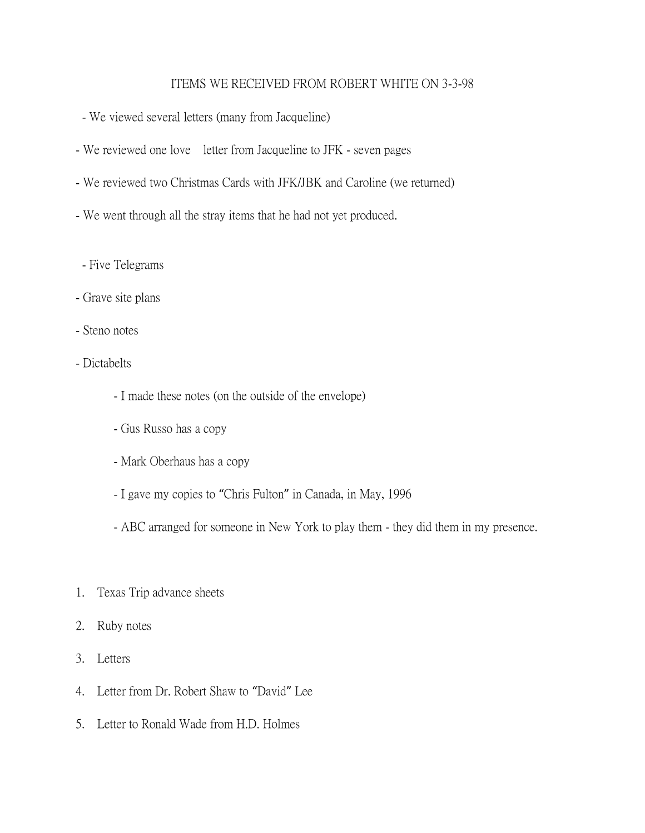## ITEMS WE RECEIVED FROM ROBERT WHITE ON 3-3-98

- We viewed several letters (many from Jacqueline)
- We reviewed one love letter from Jacqueline to JFK seven pages
- We reviewed two Christmas Cards with JFK/JBK and Caroline (we returned)
- We went through all the stray items that he had not yet produced.
- Five Telegrams
- Grave site plans
- Steno notes
- Dictabelts
	- I made these notes (on the outside of the envelope)
	- Gus Russo has a copy
	- Mark Oberhaus has a copy
	- I gave my copies to "Chris Fulton" in Canada, in May, 1996
	- ABC arranged for someone in New York to play them they did them in my presence.
- 1. Texas Trip advance sheets
- 2. Ruby notes
- 3. Letters
- 4. Letter from Dr. Robert Shaw to "David" Lee
- 5. Letter to Ronald Wade from H.D. Holmes